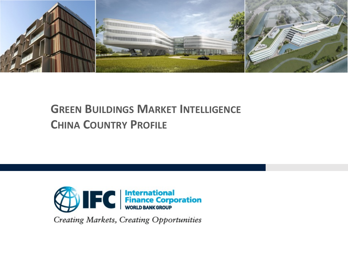

# **GREEN BUILDINGS MARKET INTELLIGENCE CHINA COUNTRY PROFILE**



**Creating Markets, Creating Opportunities**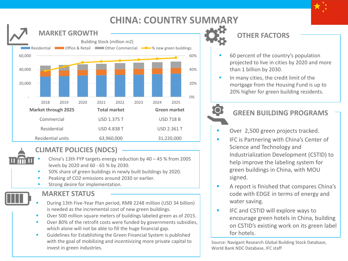### **CHINA: COUNTRY SUMMARY**



### **CLIMATE POLICIES (NDCS)**

- China's 13th FYP targets energy reduction by  $40 45$  % from 2005 levels by 2020 and 60 - 65 % by 2030.
- 50% share of green buildings in newly built buildings by 2020.
- Peaking of CO2 emissions around 2030 or earlier.
- Strong desire for implementation.

### **MARKET STATUS**



- During 13th Five-Year Plan period, RMB 2248 million (USD 34 billion) is needed as the incremental cost of new green buildings.
- Over 500 million square meters of buildings labeled green as of 2015.
- Over 80% of the retrofit costs were funded by governments subsidies, which alone will not be able to fill the huge financial gap.
- Guidelines for Establishing the Green Financial System is published with the goal of mobilizing and incentivizing more private capital to invest in green industries.

### **OTHER FACTORS**

- 60 percent of the country's population projected to live in cities by 2020 and more than 1 billion by 2030.
- In many cities, the credit limit of the mortgage from the Housing Fund is up to 20% higher for green building residents.

### **GREEN BUILDING PROGRAMS**

- Over 2,500 green projects tracked.
- IFC is Partnering with China's Center of Science and Technology and Industrialization Development (CSTID) to help improve the labeling system for green buildings in China, with MOU signed.
- A report is finished that compares China's code with EDGE in terms of energy and water saving.
- **IFC** and CSTID will explore ways to encourage green hotels in China, building on CSTID's existing work on its green label for hotels.

Source: Navigant Research Global Building Stock Database, World Bank NDC Database, IFC staff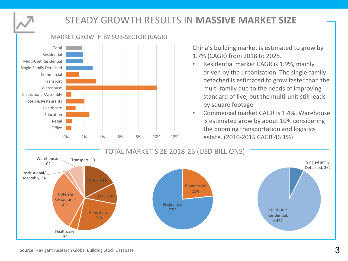

## **STEADY GROWTH RESULTS IN MASSIVE MARKET SIZE**

0% 2% 4% 6% 8% 10% 12% estate. (2010-2015 CAGR 46.1%) **Office** Retail Education Healthcare Hotels & Restaurants Institutional/Assembly Warehouse **Transport** Commercial Single-Family Detached Multi-Unit Residential Residential Total

MARKET GROWTH BY SUB-SECTOR (CAGR)

China's building market is estimated to grow by 1.7% (CAGR) from 2018 to 2025.

- Residential market CAGR is 1.9%, mainly driven by the urbanization. The single-family detached is estimated to grow faster than the multi-family due to the needs of improving standard of live, but the multi-unit still leads by square footage.
- Commercial market CAGR is 1.4%. Warehouse is estimated grow by about 10% considering the booming transportation and logistics

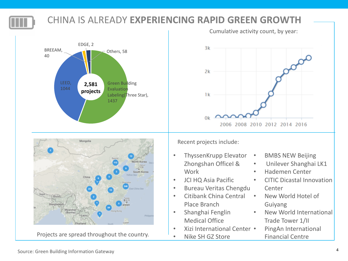

# **CHINA IS ALREADY EXPERIENCING RAPID GREEN GROWTH**





Projects are spread throughout the country.

Cumulative activity count, by year:



Recent projects include:

- ThyssenKrupp Elevator Zhongshan OfficeI & Work
- JCI HQ Asia Pacific
- Bureau Veritas Chengdu
- Citibank China Central Place Branch
- Shanghai Fenglin Medical Office
- Xizi International Center •
- Nike SH GZ Store
- BMBS NEW Beijing
	- Unilever Shanghai LK1
	- Hademen Center
	- CITIC Dicastal Innovation Center
		- New World Hotel of Guiyang
	- New World International Trade Tower 1/II
		- PingAn International Financial Centre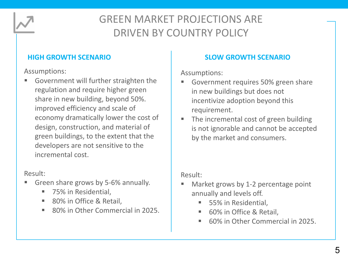

# **GREEN MARKET PROJECTIONS ARE** DRIVEN BY COUNTRY POLICY

Assumptions: 

■ Government will further straighten the regulation and require higher green share in new building, beyond 50%. improved efficiency and scale of economy dramatically lower the cost of design, construction, and material of green buildings, to the extent that the developers are not sensitive to the incremental cost.

### Result:

- Green share grows by 5-6% annually.
	- 75% in Residential,
	- 80% in Office & Retail,
	- 80% in Other Commercial in 2025.

### **HIGH GROWTH SCENARIO SLOW GROWTH SCENARIO**

Assumptions: 

- Government requires 50% green share in new buildings but does not incentivize adoption beyond this requirement.
- The incremental cost of green building is not ignorable and cannot be accepted by the market and consumers.

### Result:

- Market grows by 1-2 percentage point annually and levels off.
	- 55% in Residential,
	- 60% in Office & Retail,
	- 60% in Other Commercial in 2025.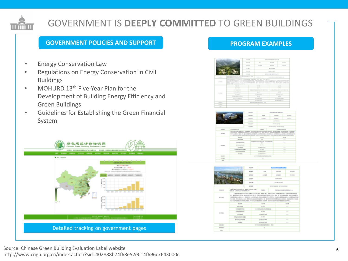# GOVERNMENT IS DEEPLY COMMITTED TO GREEN BUILDINGS

#### **GOVERNMENT POLICIES AND SUPPORT**

- Energy Conservation Law
- Regulations on Energy Conservation in Civil Buildings
- MOHURD  $13<sup>th</sup>$  Five-Year Plan for the Development of Building Energy Efficiency and Green Buildings
- Guidelines for Establishing the Green Financial System



#### **PROGRAM EXAMPLES**



|                |                              | <b>HOAR</b>    |            | AND TO MUST FAIL . REMOVALS                                                                                                                                                                                                                                                                                                |                                                                                                                                        |                                                                                                                           |                                                                                                                           |
|----------------|------------------------------|----------------|------------|----------------------------------------------------------------------------------------------------------------------------------------------------------------------------------------------------------------------------------------------------------------------------------------------------------------------------|----------------------------------------------------------------------------------------------------------------------------------------|---------------------------------------------------------------------------------------------------------------------------|---------------------------------------------------------------------------------------------------------------------------|
|                |                              | <b>ATLANT</b>  |            | <b>STATE</b>                                                                                                                                                                                                                                                                                                               |                                                                                                                                        | <b>SHOWERS</b>                                                                                                            | <b>GLENDS</b>                                                                                                             |
|                |                              | <b>MARKET</b>  |            | contact:                                                                                                                                                                                                                                                                                                                   |                                                                                                                                        | and state                                                                                                                 | A GENERAL                                                                                                                 |
|                |                              | or material    |            |                                                                                                                                                                                                                                                                                                                            |                                                                                                                                        | <b>MATERIALS</b>                                                                                                          |                                                                                                                           |
|                |                              | <b>STATIST</b> |            | programmed and                                                                                                                                                                                                                                                                                                             |                                                                                                                                        |                                                                                                                           |                                                                                                                           |
|                |                              | <b>SCORES</b>  |            | property and - presidents with                                                                                                                                                                                                                                                                                             |                                                                                                                                        |                                                                                                                           |                                                                                                                           |
| <b>HORMAL</b>  | <b><i>SURFACES ANTES</i></b> | <b>COMMON</b>  |            | willing mix segments                                                                                                                                                                                                                                                                                                       |                                                                                                                                        |                                                                                                                           |                                                                                                                           |
| <b>MARCH</b>   | <b>MAGAZIN</b>               |                |            |                                                                                                                                                                                                                                                                                                                            | \$115,000 \$8.5 PA COMPASS AND A MERCED ANNELL CORPORATION SERVICES<br>A AUXILIARY-MERCHANIST BUSINESS RECORDS ENVIRONMENTAL CONSUMING |                                                                                                                           |                                                                                                                           |
|                |                              |                |            | storms.                                                                                                                                                                                                                                                                                                                    |                                                                                                                                        | annual of                                                                                                                 |                                                                                                                           |
|                | <b>WELFARE</b>               |                |            |                                                                                                                                                                                                                                                                                                                            | $\frac{1}{2} \left( \frac{1}{2} \right) \left( \frac{1}{2} \right) \left( \frac{1}{2} \right)$                                         |                                                                                                                           |                                                                                                                           |
| an Argent      |                              | CALLASHOON     |            | <b>MARAGEMENT &amp; STATISTICS</b><br>$\equiv$                                                                                                                                                                                                                                                                             |                                                                                                                                        | $\frac{1}{2} \left( \frac{1}{2} \right) \left( \frac{1}{2} \right) \left( \frac{1}{2} \right) \left( \frac{1}{2} \right)$ |                                                                                                                           |
|                | <b>START &amp; MAYBER</b>    |                | and there. |                                                                                                                                                                                                                                                                                                                            | <b>STATE</b>                                                                                                                           |                                                                                                                           |                                                                                                                           |
|                |                              |                |            | PETRONAL/ENTY), INSEE CYTATYSTANING/Rec.EDDA AUSTINIA LUXINIA CONST<br>NAMEROUS ANNOUNCEMENTAL MANUFOLIC ART-MATERY DESIGNERS MELTAURITY, MECHA-<br>$\frac{1}{2} \left( \frac{1}{2} \right) \left( \frac{1}{2} \right) \left( \frac{1}{2} \right)$<br>COMMERCIALS<br>to arts.<br><b>ALCOHOL: NO AN</b><br><b>GUIDESTED</b> |                                                                                                                                        | $\frac{1}{2} \left( \frac{1}{2} \right) \left( \frac{1}{2} \right) \left( \frac{1}{2} \right)$                            |                                                                                                                           |
|                | <b><i>STORIES</i></b>        |                |            |                                                                                                                                                                                                                                                                                                                            |                                                                                                                                        |                                                                                                                           |                                                                                                                           |
|                | CAMPAIGNORS                  |                |            |                                                                                                                                                                                                                                                                                                                            |                                                                                                                                        |                                                                                                                           | $\frac{1}{2} \left( \frac{1}{2} \right) \left( \frac{1}{2} \right) \left( \frac{1}{2} \right)$                            |
|                | <b>BIVITYIERES</b>           |                |            |                                                                                                                                                                                                                                                                                                                            |                                                                                                                                        |                                                                                                                           | $\frac{1}{2} \left( \frac{1}{2} \right) \left( \frac{1}{2} \right) \left( \frac{1}{2} \right)$                            |
|                | <b>HARM</b>                  |                |            |                                                                                                                                                                                                                                                                                                                            |                                                                                                                                        |                                                                                                                           | $\frac{1}{2} \left( \frac{1}{2} \right) \left( \frac{1}{2} \right) \left( \frac{1}{2} \right) \left( \frac{1}{2} \right)$ |
| <b>ASSAULT</b> |                              |                |            | <b>STORE EDINATIONS: NH</b>                                                                                                                                                                                                                                                                                                |                                                                                                                                        |                                                                                                                           |                                                                                                                           |
| <b>ATTNETS</b> |                              |                |            | $\sim$                                                                                                                                                                                                                                                                                                                     |                                                                                                                                        |                                                                                                                           |                                                                                                                           |

|                       |                                                 | <b>HOAR</b>  |                                                                                                                                                                                                                                                                                                                                                                                    | <b>Expertise and Constitutions</b> |                                                                                                                                                                                                                                                                                                                                                                                                                                                                            |  |  |  |
|-----------------------|-------------------------------------------------|--------------|------------------------------------------------------------------------------------------------------------------------------------------------------------------------------------------------------------------------------------------------------------------------------------------------------------------------------------------------------------------------------------|------------------------------------|----------------------------------------------------------------------------------------------------------------------------------------------------------------------------------------------------------------------------------------------------------------------------------------------------------------------------------------------------------------------------------------------------------------------------------------------------------------------------|--|--|--|
|                       |                                                 | <b>WEAR</b>  | <b>STAR</b>                                                                                                                                                                                                                                                                                                                                                                        | <b>SCUTATION</b>                   | arman                                                                                                                                                                                                                                                                                                                                                                                                                                                                      |  |  |  |
|                       |                                                 | <b>WEARY</b> | COME.                                                                                                                                                                                                                                                                                                                                                                              | <b>WELSH</b>                       | 2010/05/07                                                                                                                                                                                                                                                                                                                                                                                                                                                                 |  |  |  |
|                       |                                                 | US FOR IN    |                                                                                                                                                                                                                                                                                                                                                                                    | <b>NUMBER</b>                      |                                                                                                                                                                                                                                                                                                                                                                                                                                                                            |  |  |  |
|                       |                                                 |              |                                                                                                                                                                                                                                                                                                                                                                                    | 2012年12月30日                        |                                                                                                                                                                                                                                                                                                                                                                                                                                                                            |  |  |  |
|                       |                                                 | ALCOHOL:     |                                                                                                                                                                                                                                                                                                                                                                                    | 2013年12月30日 · 2016年12月25日          |                                                                                                                                                                                                                                                                                                                                                                                                                                                                            |  |  |  |
| <b>TOERICE</b>        | 上海道汇报由于加拿机等公司、基础间工程的每(上海)<br>有限に対し上海運動は上昇可能有限に対 |              | <b>PERC</b>                                                                                                                                                                                                                                                                                                                                                                        | ○新式城上橋山都中は有線信法中心                   |                                                                                                                                                                                                                                                                                                                                                                                                                                                                            |  |  |  |
| <b>MISSION</b>        |                                                 |              | 上海国际中山基市中心区产业厂店所有门头三部心地站, 向陆两 属三、四国为公平线、水面基层来景与路、水面为大头面站和地面<br>B. Belchart for a doubly co-to a click centery you buy an. e. Nilsearch, Wilsonson<br>NATED BUSINESS (2014) AND RECEIVED AND ASSESSED VALUES OF A VEHICLE AND DESCRIPTIONS<br>19.000 SALMADOONS (MARGARENTHANNO G. MAGNETINASSISSORING) GANACOR NASA<br>B. BUSINESSURPHYMN, MUSULENSIERA SUNG. GOOGSENTSONMENSUSEN. |                                    |                                                                                                                                                                                                                                                                                                                                                                                                                                                                            |  |  |  |
|                       | <b>MALASH</b>                                   |              | sional.                                                                                                                                                                                                                                                                                                                                                                            |                                    | <b>ATTAIN</b>                                                                                                                                                                                                                                                                                                                                                                                                                                                              |  |  |  |
|                       | 调整节器等                                           |              | an are.                                                                                                                                                                                                                                                                                                                                                                            |                                    | -                                                                                                                                                                                                                                                                                                                                                                                                                                                                          |  |  |  |
|                       | CASEMAK                                         |              | スコッズ用人用作用作用で用いる                                                                                                                                                                                                                                                                                                                                                                    |                                    | $\frac{1}{2} \left( \frac{1}{2} \right) \left( \frac{1}{2} \right) \left( \frac{1}{2} \right) \left( \frac{1}{2} \right) \left( \frac{1}{2} \right) \left( \frac{1}{2} \right) \left( \frac{1}{2} \right) \left( \frac{1}{2} \right) \left( \frac{1}{2} \right) \left( \frac{1}{2} \right) \left( \frac{1}{2} \right) \left( \frac{1}{2} \right) \left( \frac{1}{2} \right) \left( \frac{1}{2} \right) \left( \frac{1}{2} \right) \left( \frac{1}{2} \right) \left( \frac$ |  |  |  |
| ALL R SERVI           | DAILLENGE                                       |              | <b>ATLANTA</b>                                                                                                                                                                                                                                                                                                                                                                     |                                    | $\frac{1}{2} \left( \frac{1}{2} \right) \left( \frac{1}{2} \right) \left( \frac{1}{2} \right)$                                                                                                                                                                                                                                                                                                                                                                             |  |  |  |
|                       | 信託事項等                                           |              | CRANTON                                                                                                                                                                                                                                                                                                                                                                            |                                    | $\frac{1}{2}$                                                                                                                                                                                                                                                                                                                                                                                                                                                              |  |  |  |
|                       | 日本連に連れた中の書く                                     |              | <b>TIME</b>                                                                                                                                                                                                                                                                                                                                                                        |                                    | $\frac{1}{2} \left( \frac{1}{2} \right) \left( \frac{1}{2} \right) \left( \frac{1}{2} \right) \left( \frac{1}{2} \right) \left( \frac{1}{2} \right) \left( \frac{1}{2} \right) \left( \frac{1}{2} \right) \left( \frac{1}{2} \right) \left( \frac{1}{2} \right) \left( \frac{1}{2} \right) \left( \frac{1}{2} \right) \left( \frac{1}{2} \right) \left( \frac{1}{2} \right) \left( \frac{1}{2} \right) \left( \frac{1}{2} \right) \left( \frac{1}{2} \right) \left( \frac$ |  |  |  |
|                       | ENDYVERSE                                       |              | <b>GIFE GET WITH</b>                                                                                                                                                                                                                                                                                                                                                               |                                    | $\frac{1}{2} \left( \frac{1}{2} \right) \left( \frac{1}{2} \right) \left( \frac{1}{2} \right)$                                                                                                                                                                                                                                                                                                                                                                             |  |  |  |
|                       | <b><i>PELLINER</i></b>                          |              | <b>GITE GET BLE</b>                                                                                                                                                                                                                                                                                                                                                                |                                    | $\frac{1}{2}$                                                                                                                                                                                                                                                                                                                                                                                                                                                              |  |  |  |
| <b>KEINER</b>         |                                                 |              | 2010年度支援の6連邦の所在 一部名                                                                                                                                                                                                                                                                                                                                                                |                                    |                                                                                                                                                                                                                                                                                                                                                                                                                                                                            |  |  |  |
| <b><i>ATTABLE</i></b> |                                                 | $\alpha$     |                                                                                                                                                                                                                                                                                                                                                                                    |                                    |                                                                                                                                                                                                                                                                                                                                                                                                                                                                            |  |  |  |
| <b>Bill</b>           |                                                 |              |                                                                                                                                                                                                                                                                                                                                                                                    |                                    |                                                                                                                                                                                                                                                                                                                                                                                                                                                                            |  |  |  |

<sup>6</sup> Source: Chinese Green Building Evaluation Label website http://www.cngb.org.cn/index.action?sid=402888b74f68e52e014f696c7643000c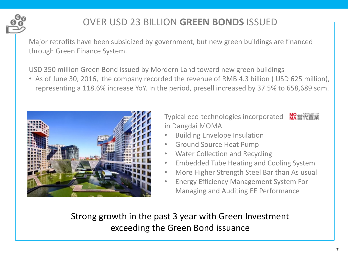

# OVER USD 23 BILLION **GREEN BONDS** ISSUED

Major retrofits have been subsidized by government, but new green buildings are financed through Green Finance System.

USD 350 million Green Bond issued by Mordern Land toward new green buildings

• As of June 30, 2016, the company recorded the revenue of RMB 4.3 billion ( USD 625 million), representing a 118.6% increase YoY. In the period, presell increased by 37.5% to 658,689 sqm.



Typical eco-technologies incorporated MR當代置業 in Dangdai MOMA

- Building Envelope Insulation
- Ground Source Heat Pump
- Water Collection and Recycling
- Embedded Tube Heating and Cooling System
- More Higher Strength Steel Bar than As usual
- Energy Efficiency Management System For Managing and Auditing EE Performance

Strong growth in the past 3 year with Green Investment exceeding the Green Bond issuance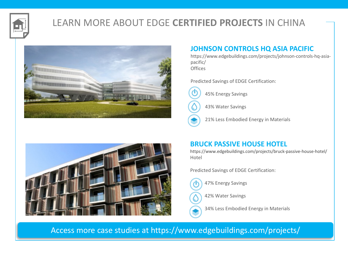

# LEARN MORE ABOUT EDGE **CERTIFIED PROJECTS** IN CHINA





### **JOHNSON CONTROLS HQ ASIA PACIFIC**

https://www.edgebuildings.com/projects/johnson-controls-hq-asiapacific/ **Offices** 

Predicted Savings of EDGE Certification:



45% Energy Savings

43% Water Savings

21% Less Embodied Energy in Materials

### **BRUCK PASSIVE HOUSE HOTEL**

https://www.edgebuildings.com/projects/bruck-passive-house-hotel/ Hotel

Predicted Savings of EDGE Certification:

47% Energy Savings

42% Water Savings

34% Less Embodied Energy in Materials

Access more case studies at https://www.edgebuildings.com/projects/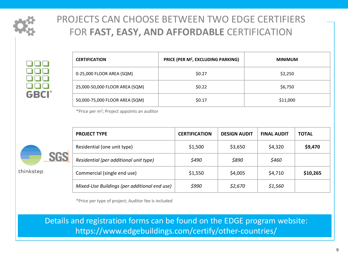

# PROJECTS CAN CHOOSE BETWEEN TWO EDGE CERTIFIERS FOR FAST, EASY, AND AFFORDABLE CERTIFICATION

**GBCI** 

| <b>CERTIFICATION</b>           | PRICE (PER M <sup>2</sup> , EXCLUDING PARKING) | <b>MINIMUM</b> |
|--------------------------------|------------------------------------------------|----------------|
| 0-25,000 FLOOR AREA (SQM)      | \$0.27                                         | \$2,250        |
| 25,000-50,000 FLOOR AREA (SQM) | \$0.22                                         | \$6,750        |
| 50,000-75,000 FLOOR AREA (SQM) | \$0.17                                         | \$11,000       |

\*Price per  $m^2$ ; Project appoints an auditor



thinkstep

| <b>PROJECT TYPE</b>                          | <b>CERTIFICATION</b> | <b>DESIGN AUDIT</b> | <b>FINAL AUDIT</b> | <b>TOTAL</b> |
|----------------------------------------------|----------------------|---------------------|--------------------|--------------|
| Residential (one unit type)                  | \$1,500              | \$3,650             | \$4,320            | \$9,470      |
| Residential (per additional unit type)       | \$490                | \$890               | \$460              |              |
| Commercial (single end use)                  | \$1,550              | \$4,005             | \$4,710            | \$10,265     |
| Mixed-Use Buildings (per additional end use) | \$990                | \$2,670             | \$1,560            |              |

\*Price per type of project; Auditor fee is included

Details and registration forms can be found on the EDGE program website: https://www.edgebuildings.com/certify/other-countries/ https://www.edgebuildings.com/certify/other-countries/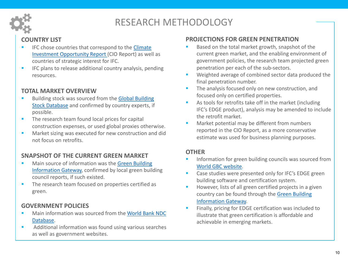

## RESEARCH METHODOLOGY

### **COUNTRY LIST**

- IFC chose countries that correspond to the Climate Investment Opportunity Report (CIO Report) as well as countries of strategic interest for IFC.
- **EXEC** plans to release additional country analysis, pending resources.

### **TOTAL MARKET OVERVIEW**

- Building stock was sourced from the Global Building Stock Database and confirmed by country experts, if possible.
- The research team found local prices for capital construction expenses, or used global proxies otherwise.
- Market sizing was executed for new construction and did not focus on retrofits.

### **SNAPSHOT OF THE CURRENT GREEN MARKET**

- Main source of information was the Green Building Information Gateway, confirmed by local green building council reports, if such existed.
- The research team focused on properties certified as green.

### **GOVERNMENT POLICIES**

- Main information was sourced from the World Bank NDC Database.
- Additional information was found using various searches as well as government websites.

### **PROJECTIONS FOR GREEN PENETRATION**

- Based on the total market growth, snapshot of the current green market, and the enabling environment of government policies, the research team projected green penetration per each of the sub-sectors.
- Weighted average of combined sector data produced the final penetration number.
- **•** The analysis focused only on new construction, and focused only on certified properties.
- As tools for retrofits take off in the market (including IFC's EDGE product), analysis may be amended to include the retrofit market.
- Market potential may be different from numbers reported in the CIO Report, as a more conservative estimate was used for business planning purposes.

#### **OTHER**

- Information for green building councils was sourced from World GBC website.
- Case studies were presented only for IFC's EDGE green building software and certification system.
- **EXEDE:** However, lists of all green certified projects in a given country can be found through the Green Building Information Gateway.
- Finally, pricing for EDGE certification was included to illustrate that green certification is affordable and achievable in emerging markets.